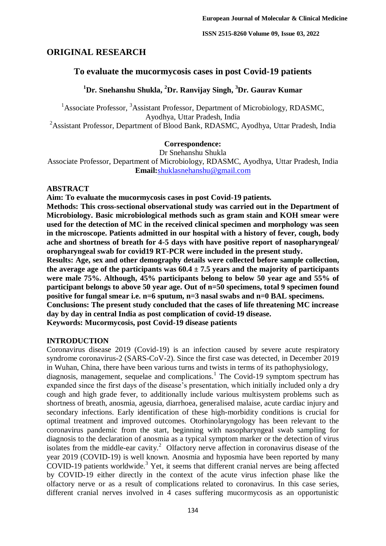# **ORIGINAL RESEARCH**

# **To evaluate the mucormycosis cases in post Covid-19 patients**

# **<sup>1</sup>Dr. Snehanshu Shukla, <sup>2</sup>Dr. Ranvijay Singh, <sup>3</sup>Dr. Gaurav Kumar**

<sup>1</sup>Associate Professor,  $3$ Assistant Professor, Department of Microbiology, RDASMC, Ayodhya, Uttar Pradesh, India

<sup>2</sup>Assistant Professor, Department of Blood Bank, RDASMC, Ayodhya, Uttar Pradesh, India

#### **Correspondence:**

Dr Snehanshu Shukla

Associate Professor, Department of Microbiology, RDASMC, Ayodhya, Uttar Pradesh, India **Email:**[shuklasnehanshu@gmail.com](mailto:shuklasnehanshu@gmail.com)

#### **ABSTRACT**

**Aim: To evaluate the mucormycosis cases in post Covid-19 patients.**

**Methods: This cross-sectional observational study was carried out in the Department of Microbiology. Basic microbiological methods such as gram stain and KOH smear were used for the detection of MC in the received clinical specimen and morphology was seen in the microscope. Patients admitted in our hospital with a history of fever, cough, body ache and shortness of breath for 4-5 days with have positive report of nasopharyngeal/ oropharyngeal swab for covid19 RT-PCR were included in the present study.**

**Results: Age, sex and other demography details were collected before sample collection,**  the average age of the participants was  $60.4 \pm 7.5$  vears and the majority of participants **were male 75%. Although, 45% participants belong to below 50 year age and 55% of participant belongs to above 50 year age. Out of n=50 specimens, total 9 specimen found positive for fungal smear i.e. n=6 sputum, n=3 nasal swabs and n=0 BAL specimens.** 

**Conclusions: The present study concluded that the cases of life threatening MC increase day by day in central India as post complication of covid-19 disease.**

**Keywords: Mucormycosis, post Covid-19 disease patients**

### **INTRODUCTION**

Coronavirus disease 2019 (Covid-19) is an infection caused by severe acute respiratory syndrome coronavirus-2 (SARS-CoV-2). Since the first case was detected, in December 2019 in Wuhan, China, there have been various turns and twists in terms of its pathophysiology,

diagnosis, management, sequelae and complications.<sup>1</sup> The Covid-19 symptom spectrum has expanded since the first days of the disease's presentation, which initially included only a dry cough and high grade fever, to additionally include various multisystem problems such as shortness of breath, anosmia, ageusia, diarrhoea, generalised malaise, acute cardiac injury and secondary infections. Early identification of these high-morbidity conditions is crucial for optimal treatment and improved outcomes. Otorhinolaryngology has been relevant to the coronavirus pandemic from the start, beginning with nasopharyngeal swab sampling for diagnosis to the declaration of anosmia as a typical symptom marker or the detection of virus isolates from the middle-ear cavity.<sup>2</sup> Olfactory nerve affection in coronavirus disease of the year 2019 (COVID-19) is well known. Anosmia and hyposmia have been reported by many COVID-19 patients worldwide.<sup>3</sup> Yet, it seems that different cranial nerves are being affected by COVID-19 either directly in the context of the acute virus infection phase like the olfactory nerve or as a result of complications related to coronavirus. In this case series, different cranial nerves involved in 4 cases suffering mucormycosis as an opportunistic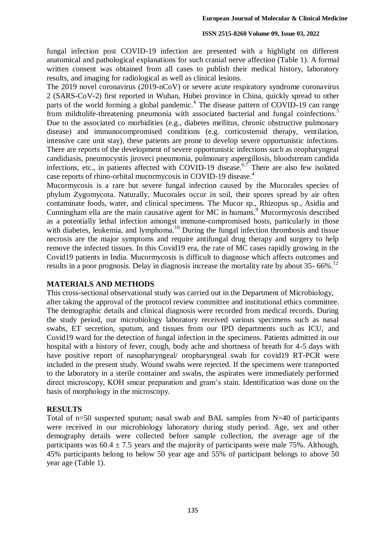#### **ISSN 2515-8260 Volume 09, Issue 03, 2022**

fungal infection post COVID-19 infection are presented with a highlight on different anatomical and pathological explanations for such cranial nerve affection (Table 1). A formal written consent was obtained from all cases to publish their medical history, laboratory results, and imaging for radiological as well as clinical lesions.

The 2019 novel coronavirus (2019-nCoV) or severe acute respiratory syndrome coronavirus 2 (SARS-CoV-2) first reported in Wuhan, Hubei province in China, quickly spread to other parts of the world forming a global pandemic.<sup>4</sup> The disease pattern of COVID-19 can range from mildtolife-threatening pneumonia with associated bacterial and fungal coinfections.<sup>5</sup> Due to the associated co morbidities (e.g., diabetes mellitus, chronic obstructive pulmonary disease) and immunocompromised conditions (e.g. corticosteroid therapy, ventilation, intensive care unit stay), these patients are prone to develop severe opportunistic infections. There are reports of the development of severe opportunistic infections such as oropharyngeal candidiasis, pneumocystis jiroveci pneumonia, pulmonary aspergillosis, bloodstream candida infections, etc., in patients affected with COVID-19 disease.<sup>6,7</sup> There are also few isolated case reports of rhino-orbital mucormycosis in COVID-19 disease.<sup>4</sup>

Mucormycosis is a rare but severe fungal infection caused by the Mucorales species of phylum Zygomycota. Naturally, Mucorales occur in soil, their spores spread by air often contaminate foods, water, and clinical specimens. The Mucor sp., Rhizopus sp., Asidia and Cunningham ella are the main causative agent for MC in humans.<sup>9</sup> Mucormycosis described as a potentially lethal infection amongst immune-compromised hosts, particularly in those with diabetes, leukemia, and lymphoma.<sup>10</sup> During the fungal infection thrombosis and tissue necrosis are the major symptoms and require antifungal drug therapy and surgery to help remove the infected tissues. In this Covid19 era, the rate of MC cases rapidly growing in the Covid19 patients in India. Mucormycosis is difficult to diagnose which affects outcomes and results in a poor prognosis. Delay in diagnosis increase the mortality rate by about 35- 66%.<sup>12</sup>

### **MATERIALS AND METHODS**

This cross-sectional observational study was carried out in the Department of Microbiology,

after taking the approval of the protocol review committee and institutional ethics committee. The demographic details and clinical diagnosis were recorded from medical records. During the study period, our microbiology laboratory received various specimens such as nasal swabs, ET secretion, sputum, and tissues from our IPD departments such as ICU, and Covid19 ward for the detection of fungal infection in the specimens. Patients admitted in our hospital with a history of fever, cough, body ache and shortness of breath for 4-5 days with have positive report of nasopharyngeal/ oropharyngeal swab for covid19 RT-PCR were included in the present study. Wound swabs were rejected. If the specimens were transported to the laboratory in a sterile container and swabs, the aspirates were immediately performed direct microscopy, KOH smear preparation and gram's stain. Identification was done on the basis of morphology in the microscopy.

### **RESULTS**

Total of n=50 suspected sputum; nasal swab and BAL samples from N=40 of participants were received in our microbiology laboratory during study period. Age, sex and other demography details were collected before sample collection, the average age of the participants was  $60.4 \pm 7.5$  years and the majority of participants were male 75%. Although, 45% participants belong to below 50 year age and 55% of participant belongs to above 50 year age (Table 1).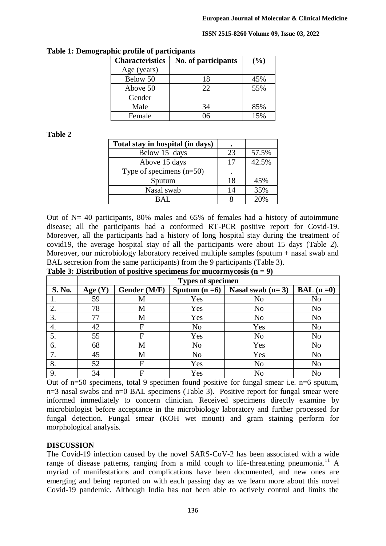#### **ISSN 2515-8260 Volume 09, Issue 03, 2022**

| <b>Characteristics</b> | No. of participants | $\%$ |
|------------------------|---------------------|------|
| Age (years)            |                     |      |
| Below 50               | 18                  | 45%  |
| Above 50               | 22                  | 55%  |
| Gender                 |                     |      |
| Male                   | 34                  | 85%  |
| Female                 |                     | 15%  |

**Table 1: Demographic profile of participants** 

## **Table 2**

| Total stay in hospital (in days) |    |       |
|----------------------------------|----|-------|
| Below 15 days                    | 23 | 57.5% |
| Above 15 days                    | 17 | 42.5% |
| Type of specimens $(n=50)$       |    |       |
| Sputum                           | 18 | 45%   |
| Nasal swab                       | 14 | 35%   |
| RAL.                             |    | 20%   |

Out of  $N = 40$  participants, 80% males and 65% of females had a history of autoimmune disease; all the participants had a conformed RT-PCR positive report for Covid-19. Moreover, all the participants had a history of long hospital stay during the treatment of covid19, the average hospital stay of all the participants were about 15 days (Table 2). Moreover, our microbiology laboratory received multiple samples (sputum + nasal swab and BAL secretion from the same participants) from the 9 participants (Table 3).

| Table 3: Distribution of positive specimens for mucormycosis $(n = 9)$ |                          |              |                |                    |                |  |  |
|------------------------------------------------------------------------|--------------------------|--------------|----------------|--------------------|----------------|--|--|
|                                                                        | <b>Types of specimen</b> |              |                |                    |                |  |  |
| S. No.                                                                 | Age $(Y)$                | Gender (M/F) | Sputum $(n=6)$ | Nasal swab $(n=3)$ | $BAL (n=0)$    |  |  |
|                                                                        | 59                       | M            | Yes            | N <sub>0</sub>     | N <sub>o</sub> |  |  |
| 2.                                                                     | 78                       | M            | Yes            | N <sub>o</sub>     | N <sub>o</sub> |  |  |
| 3.                                                                     | 77                       | M            | Yes            | N <sub>o</sub>     | N <sub>o</sub> |  |  |
| 4.                                                                     | 42                       | F            | N <sub>o</sub> | Yes                | N <sub>o</sub> |  |  |
| 5.                                                                     | 55                       | F            | Yes            | N <sub>0</sub>     | N <sub>o</sub> |  |  |
| 6.                                                                     | 68                       | M            | N <sub>o</sub> | Yes                | N <sub>0</sub> |  |  |
| 7.                                                                     | 45                       | M            | N <sub>o</sub> | Yes                | N <sub>o</sub> |  |  |
| 8.                                                                     | 52                       | F            | Yes            | N <sub>o</sub>     | N <sub>o</sub> |  |  |
| 9.                                                                     | 34                       | F            | Yes            | N <sub>o</sub>     | N <sub>o</sub> |  |  |

**Table 3: Distribution of positive specimens for mucormycosis (n = 9)**

Out of n=50 specimens, total 9 specimen found positive for fungal smear i.e. n=6 sputum, n=3 nasal swabs and n=0 BAL specimens (Table 3). Positive report for fungal smear were informed immediately to concern clinician. Received specimens directly examine by microbiologist before acceptance in the microbiology laboratory and further processed for fungal detection. Fungal smear (KOH wet mount) and gram staining perform for morphological analysis.

## **DISCUSSION**

The Covid-19 infection caused by the novel SARS-CoV-2 has been associated with a wide range of disease patterns, ranging from a mild cough to life-threatening pneumonia.<sup>11</sup> A myriad of manifestations and complications have been documented, and new ones are emerging and being reported on with each passing day as we learn more about this novel Covid-19 pandemic. Although India has not been able to actively control and limits the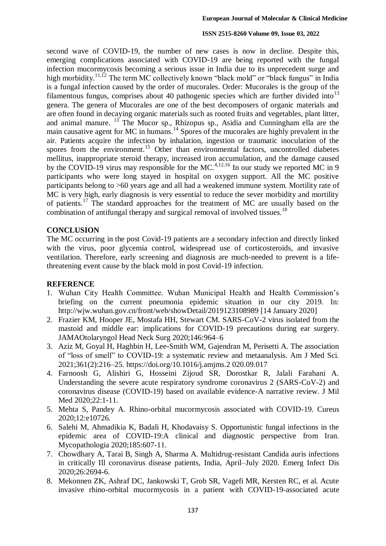#### **ISSN 2515-8260 Volume 09, Issue 03, 2022**

second wave of COVID-19, the number of new cases is now in decline. Despite this, emerging complications associated with COVID-19 are being reported with the fungal infection mucormycosis becoming a serious issue in India due to its unprecedent surge and high morbidity.<sup>11,12</sup> The term MC collectively known "black mold" or "black fungus" in India is a fungal infection caused by the order of mucorales. Order: Mucorales is the group of the filamentous fungus, comprises about 40 pathogenic species which are further divided into<sup>13</sup> genera. The genera of Mucorales are one of the best decomposers of organic materials and are often found in decaying organic materials such as rooted fruits and vegetables, plant litter, and animal manure. <sup>13</sup> The Mucor sp., Rhizopus sp., Asidia and Cunningham ella are the main causative agent for MC in humans.<sup>14</sup> Spores of the mucorales are highly prevalent in the air. Patients acquire the infection by inhalation, ingestion or traumatic inoculation of the spores from the environment.<sup>15</sup> Other than environmental factors, uncontrolled diabetes mellitus, inappropriate steroid therapy, increased iron accumulation, and the damage caused by the COVID-19 virus may responsible for the MC.<sup>4,12,16</sup> In our study we reported MC in 9 participants who were long stayed in hospital on oxygen support. All the MC positive participants belong to >60 years age and all had a weakened immune system. Mortility rate of MC is very high, early diagnosis is very essential to reduce the sever morbidity and mortility of patients.<sup>17</sup> The standard approaches for the treatment of MC are usually based on the combination of antifungal therapy and surgical removal of involved tissues.<sup>18</sup>

## **CONCLUSION**

The MC occurring in the post Covid-19 patients are a secondary infection and directly linked with the virus, poor glycemia control, widespread use of corticosteroids, and invasive ventilation. Therefore, early screening and diagnosis are much-needed to prevent is a lifethreatening event cause by the black mold in post Covid-19 infection.

### **REFERENCE**

- 1. Wuhan City Health Committee. Wuhan Municipal Health and Health Commission's briefing on the current pneumonia epidemic situation in our city 2019. In: <http://wjw.wuhan.gov.cn/front/web/showDetail/2019123108989> [14 January 2020]
- 2. Frazier KM, Hooper JE, Mostafa HH, Stewart CM. SARS-CoV-2 virus isolated from the mastoid and middle ear: implications for COVID-19 precautions during ear surgery. JAMAOtolaryngol Head Neck Surg 2020;146:964–6
- 3. Aziz M, Goyal H, Haghbin H, Lee-Smith WM, Gajendran M, Perisetti A. The association of "loss of smell" to COVID-19: a systematic review and metaanalysis. Am J Med Sci. 2021;361(2):216–25. [https://doi.org/10.1016/j.amjms.2 020.09.017](https://doi.org/10.1016/j.amjms.2%20020.09.017)
- 4. Farnoosh G, Alishiri G, Hosseini Zijoud SR, Dorostkar R, Jalali Farahani A. Understanding the severe acute respiratory syndrome coronavirus 2 (SARS-CoV-2) and coronavirus disease (COVID-19) based on available evidence-A narrative review. J Mil Med 2020;22:1-11.
- 5. Mehta S, Pandey A. Rhino-orbital mucormycosis associated with COVID-19. Cureus 2020;12:e10726.
- 6. Salehi M, Ahmadikia K, Badali H, Khodavaisy S. Opportunistic fungal infections in the epidemic area of COVID-19:A clinical and diagnostic perspective from Iran. Mycopathologia 2020;185:607-11.
- 7. Chowdhary A, Tarai B, Singh A, Sharma A. Multidrug-resistant Candida auris infections in critically Ill coronavirus disease patients, India, April–July 2020. Emerg Infect Dis 2020;26:2694-6.
- 8. Mekonnen ZK, Ashraf DC, Jankowski T, Grob SR, Vagefi MR, Kersten RC, et al. Acute invasive rhino-orbital mucormycosis in a patient with COVID-19-associated acute